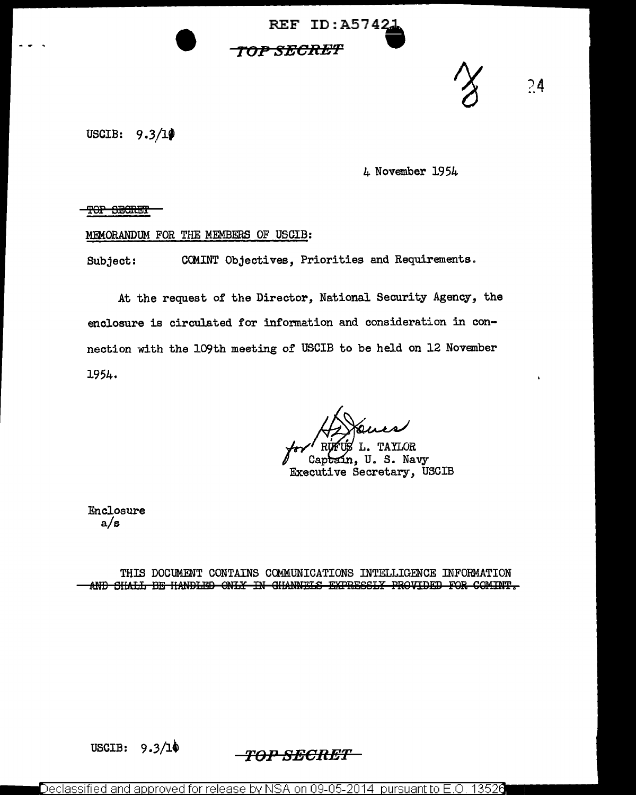



4 November 1954

?4

TOP SECRET

## MEMORANDUM FOR THE MEMBERS OF USCIB:

Subject: CCMINT Objectives, Priorities and Requirements.

At the request of the Director, National Security Agency, the enclosure is circulated for information and consideration in connection with the 109th meeting of USCIB to be held on 12 November 1954.

TAYLOR L.

Captain, U. S. Navy Executive Secretary, USCIB

Enclosure a/s

THIS DOCUMENT CONTAINS COMMUNICATIONS INTELLIGENCE INFORMATION AND SHALL BE HANDLED ONLY IN GHANNELS EXPRESSLY PROVIDED FOR COMINT.

USCIB:  $9.3/\cancel{10}$  *-TOP SECRET* 

Declassified and approved for release by NSA on 09-05-2014 pursuant to